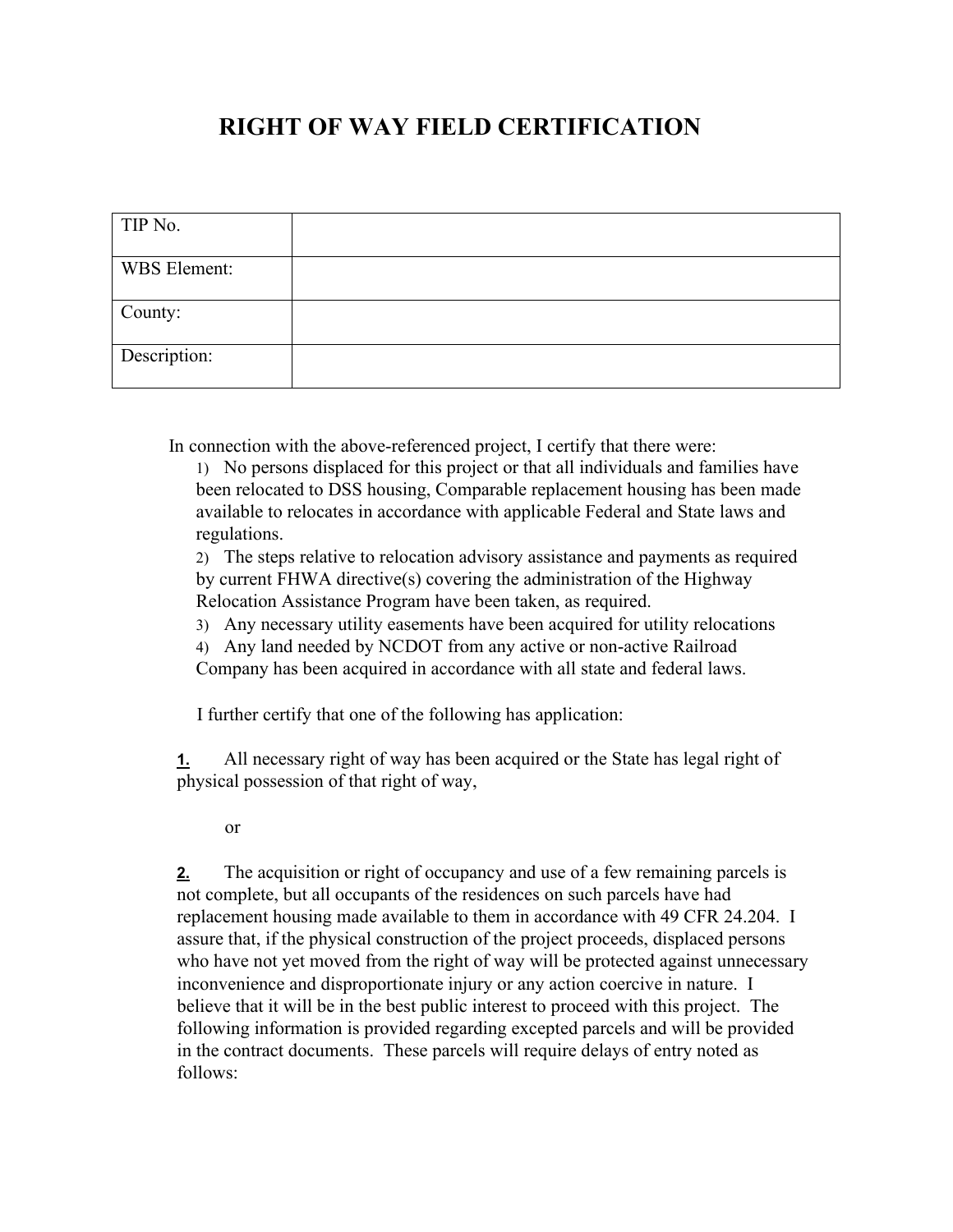## **RIGHT OF WAY FIELD CERTIFICATION**

| TIP No.      |  |
|--------------|--|
| WBS Element: |  |
| County:      |  |
| Description: |  |

In connection with the above-referenced project, I certify that there were:

1) No persons displaced for this project or that all individuals and families have been relocated to DSS housing, Comparable replacement housing has been made available to relocates in accordance with applicable Federal and State laws and regulations.

2) The steps relative to relocation advisory assistance and payments as required by current FHWA directive(s) covering the administration of the Highway Relocation Assistance Program have been taken, as required.

3) Any necessary utility easements have been acquired for utility relocations

4) Any land needed by NCDOT from any active or non-active Railroad

Company has been acquired in accordance with all state and federal laws.

I further certify that one of the following has application:

**1.** All necessary right of way has been acquired or the State has legal right of physical possession of that right of way,

or

**2.** The acquisition or right of occupancy and use of a few remaining parcels is not complete, but all occupants of the residences on such parcels have had replacement housing made available to them in accordance with 49 CFR 24.204. I assure that, if the physical construction of the project proceeds, displaced persons who have not yet moved from the right of way will be protected against unnecessary inconvenience and disproportionate injury or any action coercive in nature. I believe that it will be in the best public interest to proceed with this project. The following information is provided regarding excepted parcels and will be provided in the contract documents. These parcels will require delays of entry noted as follows: